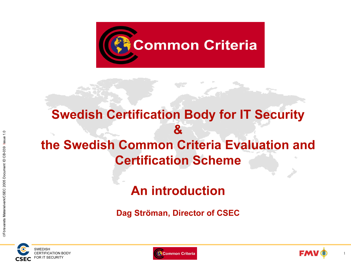

### Swedish Certification Body for IT Security  $\mathbf{z}$ the Swedish Common Criteria Evaluation and Certification Scheme

### An introduction

Dag Ströman, Director of CSEC





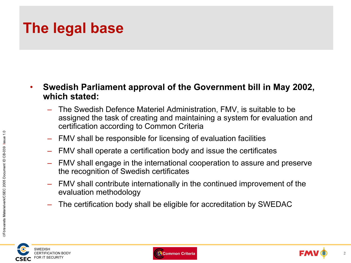# The legal base

- • Swedish Parliament approval of the Government bill in May 2002, which stated:
	- The Swedish Defence Materiel Administration, FMV, is suitable to be assigned the task of creating and maintaining a system for evaluation and certification according to Common Criteria
	- FMV shall be responsible for licensing of evaluation facilities
	- –FMV shall operate a certification body and issue the certificates
	- FMV shall engage in the international cooperation to assure and preserve the recognition of Swedish certificates
	- – FMV shall contribute internationally in the continued improvement of the evaluation methodology
	- –The certification body shall be eligible for accreditation by SWEDAC





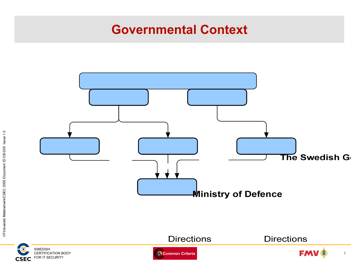### Governmental Context











3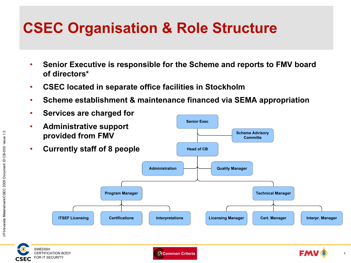# CSEC Organisation & Role Structure

- • Senior Executive is responsible for the Scheme and reports to FMV board of directors\*
- •CSEC located in separate office facilities in Stockholm
- •Scheme establishment & maintenance financed via SEMA appropriation



**CSEC**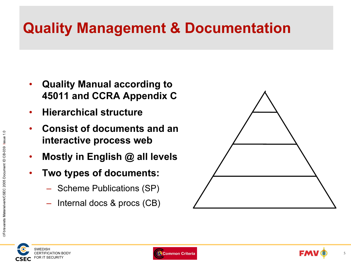# Quality Management & Documentation

- $\bullet$  Quality Manual according to 45011 and CCRA Appendix C
- •Hierarchical structure
- • Consist of documents and an interactive process web
- $\bullet$ Mostly in English @ all levels
- $\bullet$  Two types of documents:
	- Scheme Publications (SP)
	- Internal docs & procs (CB)

![](_page_4_Picture_8.jpeg)

![](_page_4_Picture_9.jpeg)

![](_page_4_Picture_10.jpeg)

![](_page_4_Picture_11.jpeg)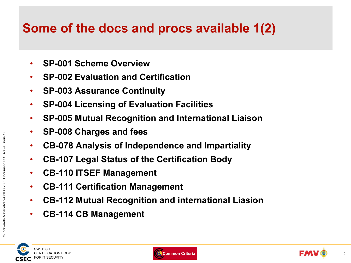### Some of the docs and procs available 1(2)

- •SP-001 Scheme Overview
- •SP-002 Evaluation and Certification
- $\bullet$ SP-003 Assurance Continuity
- •SP-004 Licensing of Evaluation Facilities
- •SP-005 Mutual Recognition and International Liaison
- $\bullet$ SP-008 Charges and fees
- $\bullet$ CB-078 Analysis of Independence and Impartiality
- •CB-107 Legal Status of the Certification Body
- •CB-110 ITSEF Management
- •CB-111 Certification Management
- •CB-112 Mutual Recognition and international Liasion
- •CB-114 CB Management

![](_page_5_Picture_13.jpeg)

![](_page_5_Picture_14.jpeg)

![](_page_5_Picture_15.jpeg)

6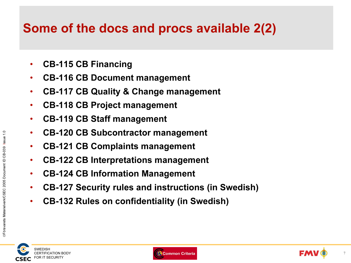### Some of the docs and procs available 2(2)

- •CB-115 CB Financing
- •CB-116 CB Document management
- •CB-117 CB Quality & Change management
- •CB-118 CB Project management
- •CB-119 CB Staff management
- •CB-120 CB Subcontractor management
- •CB-121 CB Complaints management
- •CB-122 CB Interpretations management
- •CB-124 CB Information Management
- •CB-127 Security rules and instructions (in Swedish)
- •CB-132 Rules on confidentiality (in Swedish)

![](_page_6_Picture_12.jpeg)

![](_page_6_Picture_13.jpeg)

![](_page_6_Picture_14.jpeg)

 $\frac{0}{1}$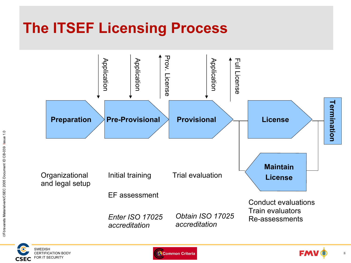# The ITSEF Licensing Process

![](_page_7_Figure_1.jpeg)

![](_page_7_Picture_2.jpeg)

![](_page_7_Picture_3.jpeg)

![](_page_7_Picture_4.jpeg)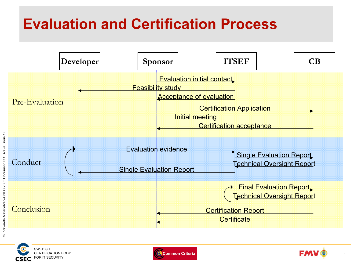# Evaluation and Certification Process

![](_page_8_Figure_1.jpeg)

Issue 1.0

![](_page_8_Picture_3.jpeg)

![](_page_8_Picture_4.jpeg)

![](_page_8_Picture_5.jpeg)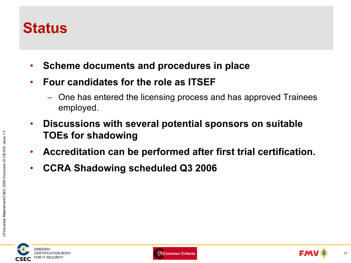### **Status**

- •Scheme documents and procedures in place
- • Four candidates for the role as ITSEF
	- One has entered the licensing process and has approved Trainees employed.
- $\bullet$  Discussions with several potential sponsors on suitable TOEs for shadowing
- $\bullet$ Accreditation can be performed after first trial certification.
- •CCRA Shadowing scheduled Q3 2006

Försvarets Materielverk/CSEC 2005 Document ID CB-039

Issue 1.0

![](_page_9_Picture_9.jpeg)

![](_page_9_Picture_10.jpeg)